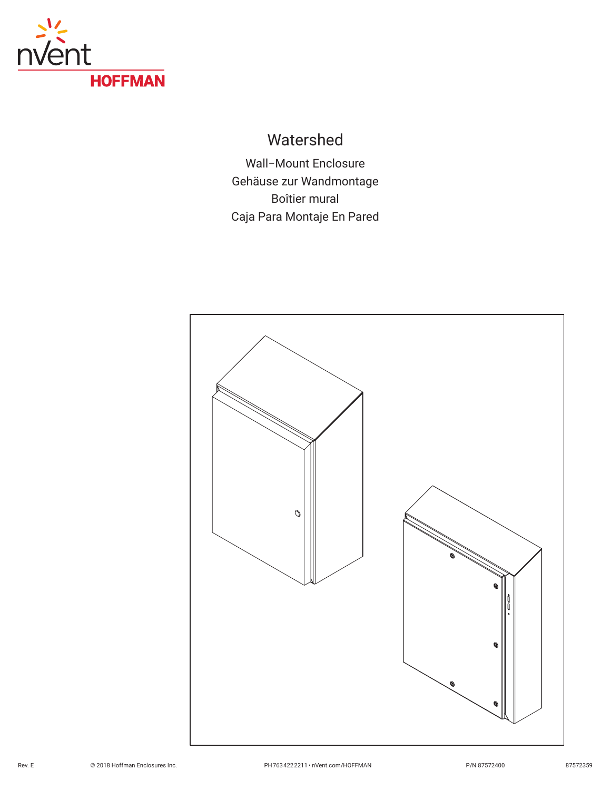

# Watershed

Wall−Mount Enclosure Gehäuse zur Wandmontage Boîtier mural Caja Para Montaje En Pared

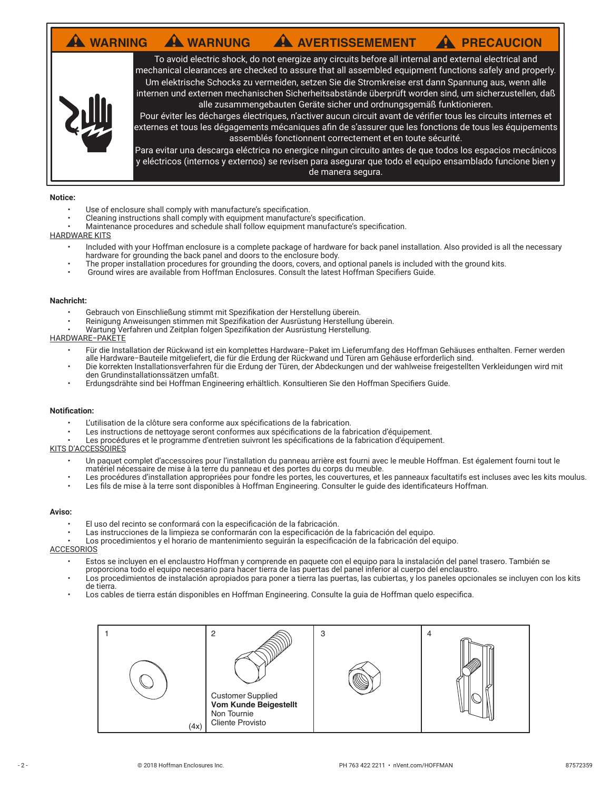# **AWARNING AWARNUNG AWERTISSEMEMENT A PRECAUCION**



To avoid electric shock, do not energize any circuits before all internal and external electrical and mechanical clearances are checked to assure that all assembled equipment functions safely and properly. Um elektrische Schocks zu vermeiden, setzen Sie die Stromkreise erst dann Spannung aus, wenn alle internen und externen mechanischen Sicherheitsabstände überprüft worden sind, um sicherzustellen, daß alle zusammengebauten Geräte sicher und ordnungsgemäß funktionieren.

Pour éviter les décharges électriques, n'activer aucun circuit avant de vérifier tous les circuits internes et externes et tous les dégagements mécaniques afin de s'assurer que les fonctions de tous les équipements assemblés fonctionnent correctement et en toute sécurité.

Para evitar una descarga eléctrica no energice ningun circuito antes de que todos los espacios mecánicos y eléctricos (internos y externos) se revisen para asegurar que todo el equipo ensamblado funcione bien y de manera segura.

#### **Notice:**

- Use of enclosure shall comply with manufacture's specification.<br>• Cleaning instructions shall comply with equipment manufacture
- Cleaning instructions shall comply with equipment manufacture's specification.
- Maintenance procedures and schedule shall follow equipment manufacture's specification.

## HARDWARE KITS

- Included with your Hoffman enclosure is a complete package of hardware for back panel installation. Also provided is all the necessary hardware for grounding the back panel and doors to the enclosure body.
- The proper installation procedures for grounding the doors, covers, and optional panels is included with the ground kits.
- Ground wires are available from Hoffman Enclosures. Consult the latest Hoffman Specifiers Guide.

#### **Nachricht:**

- Gebrauch von Einschließung stimmt mit Spezifikation der Herstellung überein.
- Reinigung Anweisungen stimmen mit Spezifikation der Ausrüstung Herstellung überein.
- Wartung Verfahren und Zeitplan folgen Spezifikation der Ausrüstung Herstellung.

# HARDWARE−PAKETE

- Für die Installation der Rückwand ist ein komplettes Hardware−Paket im Lieferumfang des Hoffman Gehäuses enthalten. Ferner werden alle Hardware−Bauteile mitgeliefert, die für die Erdung der Rückwand und Türen am Gehäuse erforderlich sind.
- Die korrekten Installationsverfahren für die Erdung der Türen, der Abdeckungen und der wahlweise freigestellten Verkleidungen wird mit den Grundinstallationssätzen umfaßt.
- Erdungsdrähte sind bei Hoffman Engineering erhältlich. Konsultieren Sie den Hoffman Specifiers Guide.

#### **Notification:**

- L'utilisation de la clôture sera conforme aux spécifications de la fabrication.
- Les instructions de nettoyage seront conformes aux spécifications de la fabrication d'équipement.
- Les procédures et le programme d'entretien suivront les spécifications de la fabrication d'équipement.

### KITS D'ACCESSOIRES

- Un paquet complet d'accessoires pour l'installation du panneau arrière est fourni avec le meuble Hoffman. Est également fourni tout le matériel nécessaire de mise à la terre du panneau et des portes du corps du meuble.
- Les procédures d'installation appropriées pour fondre les portes, les couvertures, et les panneaux facultatifs est incluses avec les kits moulus.
- Les fils de mise à la terre sont disponibles à Hoffman Engineering. Consulter le guide des identificateurs Hoffman.

## **Aviso:**

- El uso del recinto se conformará con la especificación de la fabricación.
- Las instrucciones de la limpieza se conformarán con la especificación de la fabricación del equipo.
- Los procedimientos y el horario de mantenimiento seguirán la especificación de la fabricación del equipo.

### **ACCESORIOS**

- Estos se incluyen en el enclaustro Hoffman y comprende en paquete con el equipo para la instalación del panel trasero. También se proporciona todo el equipo necesario para hacer tierra de las puertas del panel inferior al cuerpo del enclaustro.
- Los procedimientos de instalación apropiados para poner a tierra las puertas, las cubiertas, y los paneles opcionales se incluyen con los kits de tierra.
- Los cables de tierra están disponibles en Hoffman Engineering. Consulte la guia de Hoffman quelo especifica.

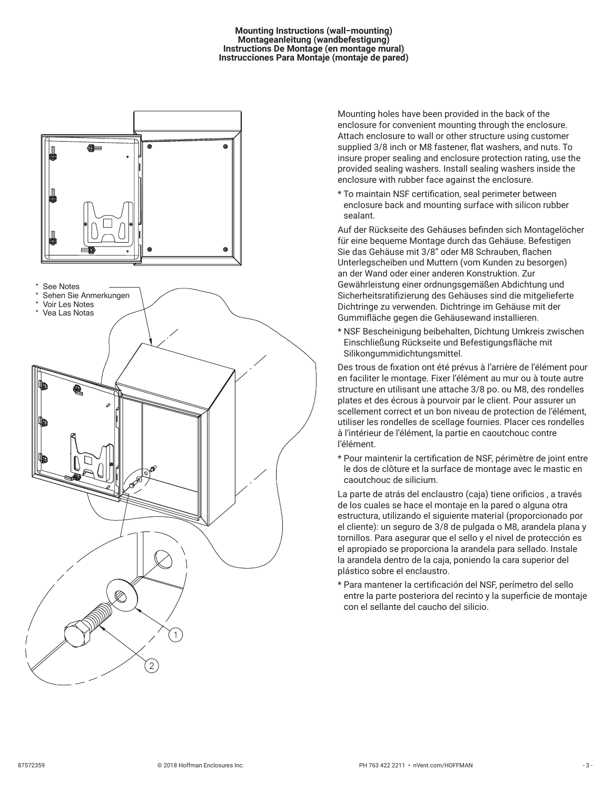#### **Mounting Instructions (wall−mounting) Montageanleitung (wandbefestigung) Instructions De Montage (en montage mural) Instrucciones Para Montaje (montaje de pared)**



Mounting holes have been provided in the back of the enclosure for convenient mounting through the enclosure. Attach enclosure to wall or other structure using customer supplied 3/8 inch or M8 fastener, flat washers, and nuts. To insure proper sealing and enclosure protection rating, use the provided sealing washers. Install sealing washers inside the enclosure with rubber face against the enclosure.

\* To maintain NSF certification, seal perimeter between enclosure back and mounting surface with silicon rubber sealant.

Auf der Rückseite des Gehäuses befinden sich Montagelöcher für eine bequeme Montage durch das Gehäuse. Befestigen Sie das Gehäuse mit 3/8" oder M8 Schrauben, flachen Unterlegscheiben und Muttern (vom Kunden zu besorgen) an der Wand oder einer anderen Konstruktion. Zur Gewährleistung einer ordnungsgemäßen Abdichtung und Sicherheitsratifizierung des Gehäuses sind die mitgelieferte Dichtringe zu verwenden. Dichtringe im Gehäuse mit der Gummifläche gegen die Gehäusewand installieren.

\* NSF Bescheinigung beibehalten, Dichtung Umkreis zwischen Einschließung Rückseite und Befestigungsfläche mit Silikongummidichtungsmittel.

Des trous de fixation ont été prévus à l'arrière de l'élément pour en faciliter le montage. Fixer l'élément au mur ou à toute autre structure en utilisant une attache 3/8 po. ou M8, des rondelles plates et des écrous à pourvoir par le client. Pour assurer un scellement correct et un bon niveau de protection de l'élément, utiliser les rondelles de scellage fournies. Placer ces rondelles à l'intérieur de l'élément, la partie en caoutchouc contre l'élément.

\* Pour maintenir la certification de NSF, périmètre de joint entre le dos de clôture et la surface de montage avec le mastic en caoutchouc de silicium.

La parte de atrás del enclaustro (caja) tiene orificios , a través de los cuales se hace el montaje en la pared o alguna otra estructura, utilizando el siguiente material (proporcionado por el cliente): un seguro de 3/8 de pulgada o M8, arandela plana y tornillos. Para asegurar que el sello y el nivel de protección es el apropiado se proporciona la arandela para sellado. Instale la arandela dentro de la caja, poniendo la cara superior del plástico sobre el enclaustro.

\* Para mantener la certificación del NSF, perímetro del sello entre la parte posteriora del recinto y la superficie de montaje con el sellante del caucho del silicio.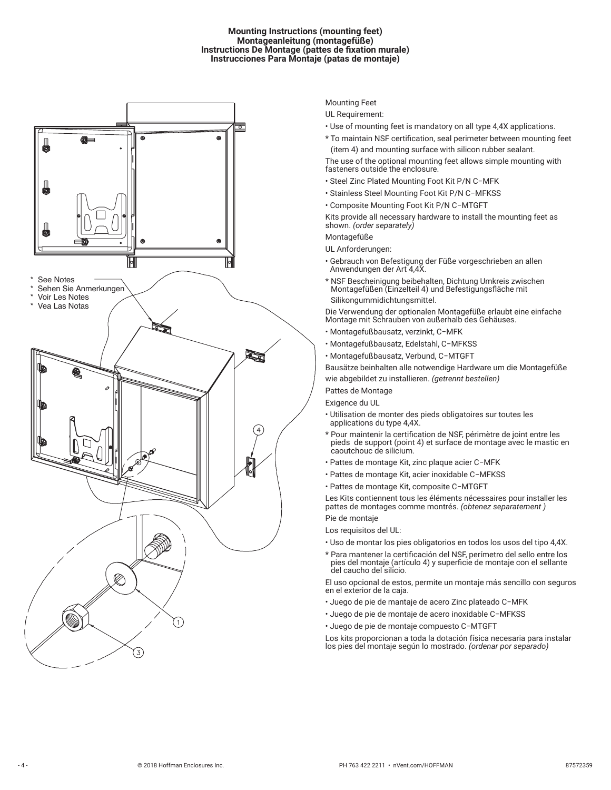#### **Mounting Instructions (mounting feet) Montageanleitung (montagefüße) Instructions De Montage (pattes de fixation murale) Instrucciones Para Montaje (patas de montaje)**



Mounting Feet

UL Requirement:

- Use of mounting feet is mandatory on all type 4,4X applications.
- \* To maintain NSF certification, seal perimeter between mounting feet (item 4) and mounting surface with silicon rubber sealant.

The use of the optional mounting feet allows simple mounting with fasteners outside the enclosure.

- Steel Zinc Plated Mounting Foot Kit P/N C−MFK
- Stainless Steel Mounting Foot Kit P/N C−MFKSS
- Composite Mounting Foot Kit P/N C−MTGFT

Kits provide all necessary hardware to install the mounting feet as shown. *(order separately)*

Montagefüße

UL Anforderungen:

- Gebrauch von Befestigung der Füße vorgeschrieben an allen Anwendungen der Art 4,4X.
- \* NSF Bescheinigung beibehalten, Dichtung Umkreis zwischen Montagefüßen (Einzelteil 4) und Befestigungsfläche mit Silikongummidichtungsmittel.

Die Verwendung der optionalen Montagefüße erlaubt eine einfache Montage mit Schrauben von außerhalb des Gehäuses.

- Montagefußbausatz, verzinkt, C−MFK
- Montagefußbausatz, Edelstahl, C−MFKSS
- Montagefußbausatz, Verbund, C−MTGFT

Bausätze beinhalten alle notwendige Hardware um die Montagefüße wie abgebildet zu installieren. *(getrennt bestellen)*

#### Pattes de Montage

Exigence du UL

- Utilisation de monter des pieds obligatoires sur toutes les applications du type 4,4X.
- \* Pour maintenir la certification de NSF, périmètre de joint entre les pieds de support (point 4) et surface de montage avec le mastic en caoutchouc de silicium.
- Pattes de montage Kit, zinc plaque acier C−MFK
- Pattes de montage Kit, acier inoxidable C−MFKSS
- Pattes de montage Kit, composite C−MTGFT

Les Kits contiennent tous les éléments nécessaires pour installer les pattes de montages comme montrés. *(obtenez separatement )*

## Pie de montaje

Los requisitos del UL:

- Uso de montar los pies obligatorios en todos los usos del tipo 4,4X.
- \* Para mantener la certificación del NSF, perímetro del sello entre los pies del montaje (artículo 4) y superficie de montaje con el sellante del caucho del silicio.

El uso opcional de estos, permite un montaje más sencillo con seguros en el exterior de la caja.

- Juego de pie de mantaje de acero Zinc plateado C−MFK
- Juego de pie de montaje de acero inoxidable C−MFKSS
- Juego de pie de montaje compuesto C−MTGFT

Los kits proporcionan a toda la dotación física necesaria para instalar los pies del montaje según lo mostrado. *(ordenar por separado)*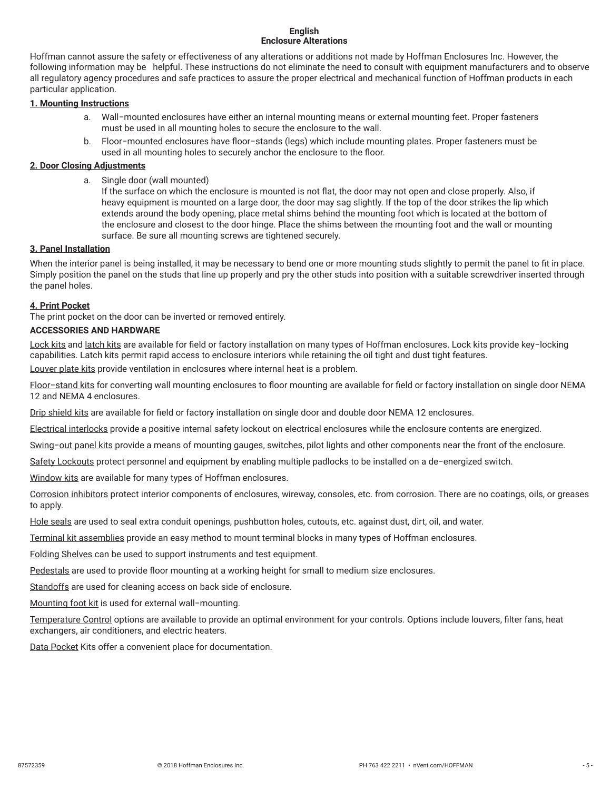## **English Enclosure Alterations**

Hoffman cannot assure the safety or effectiveness of any alterations or additions not made by Hoffman Enclosures Inc. However, the following information may be helpful. These instructions do not eliminate the need to consult with equipment manufacturers and to observe all regulatory agency procedures and safe practices to assure the proper electrical and mechanical function of Hoffman products in each particular application.

# **1. Mounting Instructions**

- a. Wall−mounted enclosures have either an internal mounting means or external mounting feet. Proper fasteners must be used in all mounting holes to secure the enclosure to the wall.
- b. Floor−mounted enclosures have floor−stands (legs) which include mounting plates. Proper fasteners must be used in all mounting holes to securely anchor the enclosure to the floor.

# **2. Door Closing Adjustments**

a. Single door (wall mounted)

If the surface on which the enclosure is mounted is not flat, the door may not open and close properly. Also, if heavy equipment is mounted on a large door, the door may sag slightly. If the top of the door strikes the lip which extends around the body opening, place metal shims behind the mounting foot which is located at the bottom of the enclosure and closest to the door hinge. Place the shims between the mounting foot and the wall or mounting surface. Be sure all mounting screws are tightened securely.

# **3. Panel Installation**

When the interior panel is being installed, it may be necessary to bend one or more mounting studs slightly to permit the panel to fit in place. Simply position the panel on the studs that line up properly and pry the other studs into position with a suitable screwdriver inserted through the panel holes.

# **4. Print Pocket**

The print pocket on the door can be inverted or removed entirely.

# **ACCESSORIES AND HARDWARE**

Lock kits and latch kits are available for field or factory installation on many types of Hoffman enclosures. Lock kits provide key−locking capabilities. Latch kits permit rapid access to enclosure interiors while retaining the oil tight and dust tight features.

Louver plate kits provide ventilation in enclosures where internal heat is a problem.

Floor−stand kits for converting wall mounting enclosures to floor mounting are available for field or factory installation on single door NEMA 12 and NEMA 4 enclosures.

Drip shield kits are available for field or factory installation on single door and double door NEMA 12 enclosures.

Electrical interlocks provide a positive internal safety lockout on electrical enclosures while the enclosure contents are energized.

Swing−out panel kits provide a means of mounting gauges, switches, pilot lights and other components near the front of the enclosure.

Safety Lockouts protect personnel and equipment by enabling multiple padlocks to be installed on a de−energized switch.

Window kits are available for many types of Hoffman enclosures.

Corrosion inhibitors protect interior components of enclosures, wireway, consoles, etc. from corrosion. There are no coatings, oils, or greases to apply.

Hole seals are used to seal extra conduit openings, pushbutton holes, cutouts, etc. against dust, dirt, oil, and water.

Terminal kit assemblies provide an easy method to mount terminal blocks in many types of Hoffman enclosures.

Folding Shelves can be used to support instruments and test equipment.

Pedestals are used to provide floor mounting at a working height for small to medium size enclosures.

Standoffs are used for cleaning access on back side of enclosure.

Mounting foot kit is used for external wall−mounting.

Temperature Control options are available to provide an optimal environment for your controls. Options include louvers, filter fans, heat exchangers, air conditioners, and electric heaters.

Data Pocket Kits offer a convenient place for documentation.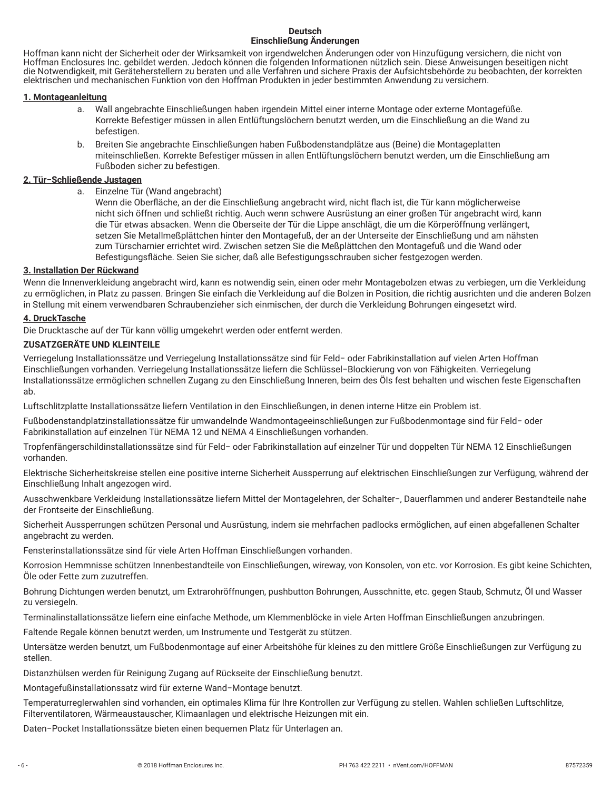## **Deutsch Einschließung Änderungen**

Hoffman kann nicht der Sicherheit oder der Wirksamkeit von irgendwelchen Änderungen oder von Hinzufügung versichern, die nicht von Hoffman Enclosures Inc. gebildet werden. Jedoch können die folgenden Informationen nützlich sein. Diese Anweisungen beseitigen nicht die Notwendigkeit, mit Geräteherstellern zu beraten und alle Verfahren und sichere Praxis der Aufsichtsbehörde zu beobachten, der korrekten elektrischen und mechanischen Funktion von den Hoffman Produkten in jeder bestimmten Anwendung zu versichern.

# **1. Montageanleitung**

- a. Wall angebrachte Einschließungen haben irgendein Mittel einer interne Montage oder externe Montagefüße. Korrekte Befestiger müssen in allen Entlüftungslöchern benutzt werden, um die Einschließung an die Wand zu befestigen.
- b. Breiten Sie angebrachte Einschließungen haben Fußbodenstandplätze aus (Beine) die Montageplatten miteinschließen. Korrekte Befestiger müssen in allen Entlüftungslöchern benutzt werden, um die Einschließung am Fußboden sicher zu befestigen.

# **2. Tür−Schließende Justagen**

a. Einzelne Tür (Wand angebracht)

Wenn die Oberfläche, an der die Einschließung angebracht wird, nicht flach ist, die Tür kann möglicherweise nicht sich öffnen und schließt richtig. Auch wenn schwere Ausrüstung an einer großen Tür angebracht wird, kann die Tür etwas absacken. Wenn die Oberseite der Tür die Lippe anschlägt, die um die Körperöffnung verlängert, setzen Sie Metallmeßplättchen hinter den Montagefuß, der an der Unterseite der Einschließung und am nähsten zum Türscharnier errichtet wird. Zwischen setzen Sie die Meßplättchen den Montagefuß und die Wand oder Befestigungsfläche. Seien Sie sicher, daß alle Befestigungsschrauben sicher festgezogen werden.

# **3. Installation Der Rückwand**

Wenn die Innenverkleidung angebracht wird, kann es notwendig sein, einen oder mehr Montagebolzen etwas zu verbiegen, um die Verkleidung zu ermöglichen, in Platz zu passen. Bringen Sie einfach die Verkleidung auf die Bolzen in Position, die richtig ausrichten und die anderen Bolzen in Stellung mit einem verwendbaren Schraubenzieher sich einmischen, der durch die Verkleidung Bohrungen eingesetzt wird.

# **4. DruckTasche**

Die Drucktasche auf der Tür kann völlig umgekehrt werden oder entfernt werden.

# **ZUSATZGERÄTE UND KLEINTEILE**

Verriegelung Installationssätze und Verriegelung Installationssätze sind für Feld− oder Fabrikinstallation auf vielen Arten Hoffman Einschließungen vorhanden. Verriegelung Installationssätze liefern die Schlüssel−Blockierung von von Fähigkeiten. Verriegelung Installationssätze ermöglichen schnellen Zugang zu den Einschließung Inneren, beim des Öls fest behalten und wischen feste Eigenschaften ab.

Luftschlitzplatte Installationssätze liefern Ventilation in den Einschließungen, in denen interne Hitze ein Problem ist.

Fußbodenstandplatzinstallationssätze für umwandelnde Wandmontageeinschließungen zur Fußbodenmontage sind für Feld− oder Fabrikinstallation auf einzelnen Tür NEMA 12 und NEMA 4 Einschließungen vorhanden.

Tropfenfängerschildinstallationssätze sind für Feld− oder Fabrikinstallation auf einzelner Tür und doppelten Tür NEMA 12 Einschließungen vorhanden.

Elektrische Sicherheitskreise stellen eine positive interne Sicherheit Aussperrung auf elektrischen Einschließungen zur Verfügung, während der Einschließung Inhalt angezogen wird.

Ausschwenkbare Verkleidung Installationssätze liefern Mittel der Montagelehren, der Schalter−, Dauerflammen und anderer Bestandteile nahe der Frontseite der Einschließung.

Sicherheit Aussperrungen schützen Personal und Ausrüstung, indem sie mehrfachen padlocks ermöglichen, auf einen abgefallenen Schalter angebracht zu werden.

Fensterinstallationssätze sind für viele Arten Hoffman Einschließungen vorhanden.

Korrosion Hemmnisse schützen Innenbestandteile von Einschließungen, wireway, von Konsolen, von etc. vor Korrosion. Es gibt keine Schichten, Öle oder Fette zum zuzutreffen.

Bohrung Dichtungen werden benutzt, um Extrarohröffnungen, pushbutton Bohrungen, Ausschnitte, etc. gegen Staub, Schmutz, Öl und Wasser zu versiegeln.

Terminalinstallationssätze liefern eine einfache Methode, um Klemmenblöcke in viele Arten Hoffman Einschließungen anzubringen.

Faltende Regale können benutzt werden, um Instrumente und Testgerät zu stützen.

Untersätze werden benutzt, um Fußbodenmontage auf einer Arbeitshöhe für kleines zu den mittlere Größe Einschließungen zur Verfügung zu stellen.

Distanzhülsen werden für Reinigung Zugang auf Rückseite der Einschließung benutzt.

Montagefußinstallationssatz wird für externe Wand−Montage benutzt.

Temperaturreglerwahlen sind vorhanden, ein optimales Klima für Ihre Kontrollen zur Verfügung zu stellen. Wahlen schließen Luftschlitze, Filterventilatoren, Wärmeaustauscher, Klimaanlagen und elektrische Heizungen mit ein.

Daten−Pocket Installationssätze bieten einen bequemen Platz für Unterlagen an.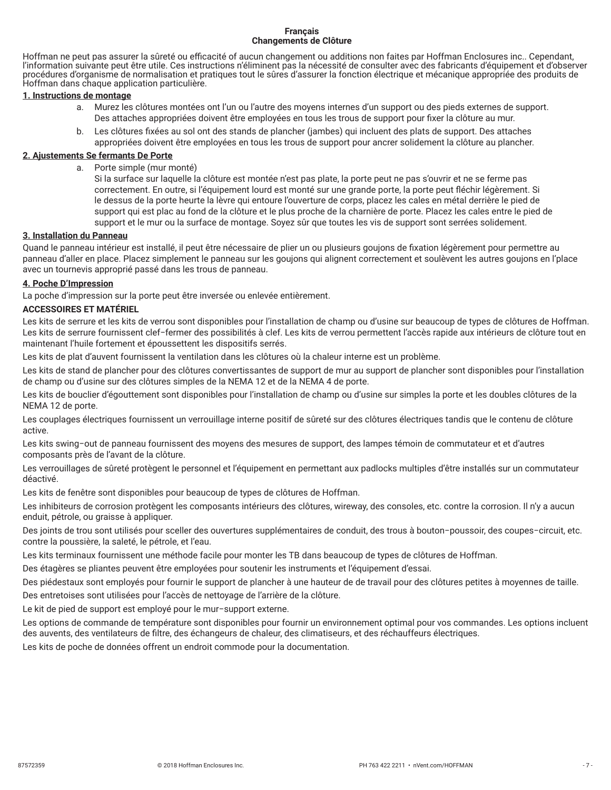## **Français Changements de Clôture**

Hoffman ne peut pas assurer la sûreté ou efficacité of aucun changement ou additions non faites par Hoffman Enclosures inc.. Cependant, l'information suivante peut être utile. Ces instructions n'éliminent pas la nécessité de consulter avec des fabricants d'équipement et d'observer procédures d'organisme de normalisation et pratiques tout le sûres d'assurer la fonction électrique et mécanique appropriée des produits de Hoffman dans chaque application particulière.

# **1. Instructions de montage**

- a. Murez les clôtures montées ont l'un ou l'autre des moyens internes d'un support ou des pieds externes de support. Des attaches appropriées doivent être employées en tous les trous de support pour fixer la clôture au mur.
- b. Les clôtures fixées au sol ont des stands de plancher (jambes) qui incluent des plats de support. Des attaches appropriées doivent être employées en tous les trous de support pour ancrer solidement la clôture au plancher.

# **2. Ajustements Se fermants De Porte**

a. Porte simple (mur monté)

Si la surface sur laquelle la clôture est montée n'est pas plate, la porte peut ne pas s'ouvrir et ne se ferme pas correctement. En outre, si l'équipement lourd est monté sur une grande porte, la porte peut fléchir légèrement. Si le dessus de la porte heurte la lèvre qui entoure l'ouverture de corps, placez les cales en métal derrière le pied de support qui est plac au fond de la clôture et le plus proche de la charnière de porte. Placez les cales entre le pied de support et le mur ou la surface de montage. Soyez sûr que toutes les vis de support sont serrées solidement.

# **3. Installation du Panneau**

Quand le panneau intérieur est installé, il peut être nécessaire de plier un ou plusieurs goujons de fixation légèrement pour permettre au panneau d'aller en place. Placez simplement le panneau sur les goujons qui alignent correctement et soulèvent les autres goujons en l'place avec un tournevis approprié passé dans les trous de panneau.

# **4. Poche D'Impression**

La poche d'impression sur la porte peut être inversée ou enlevée entièrement.

# **ACCESSOIRES ET MATÉRIEL**

Les kits de serrure et les kits de verrou sont disponibles pour l'installation de champ ou d'usine sur beaucoup de types de clôtures de Hoffman. Les kits de serrure fournissent clef−fermer des possibilités à clef. Les kits de verrou permettent l'accès rapide aux intérieurs de clôture tout en maintenant l'huile fortement et époussettent les dispositifs serrés.

Les kits de plat d'auvent fournissent la ventilation dans les clôtures où la chaleur interne est un problème.

Les kits de stand de plancher pour des clôtures convertissantes de support de mur au support de plancher sont disponibles pour l'installation de champ ou d'usine sur des clôtures simples de la NEMA 12 et de la NEMA 4 de porte.

Les kits de bouclier d'égouttement sont disponibles pour l'installation de champ ou d'usine sur simples la porte et les doubles clôtures de la NEMA 12 de porte.

Les couplages électriques fournissent un verrouillage interne positif de sûreté sur des clôtures électriques tandis que le contenu de clôture active.

Les kits swing−out de panneau fournissent des moyens des mesures de support, des lampes témoin de commutateur et et d'autres composants près de l'avant de la clôture.

Les verrouillages de sûreté protègent le personnel et l'équipement en permettant aux padlocks multiples d'être installés sur un commutateur déactivé.

Les kits de fenêtre sont disponibles pour beaucoup de types de clôtures de Hoffman.

Les inhibiteurs de corrosion protègent les composants intérieurs des clôtures, wireway, des consoles, etc. contre la corrosion. Il n'y a aucun enduit, pétrole, ou graisse à appliquer.

Des joints de trou sont utilisés pour sceller des ouvertures supplémentaires de conduit, des trous à bouton−poussoir, des coupes−circuit, etc. contre la poussière, la saleté, le pétrole, et l'eau.

Les kits terminaux fournissent une méthode facile pour monter les TB dans beaucoup de types de clôtures de Hoffman.

Des étagères se pliantes peuvent être employées pour soutenir les instruments et l'équipement d'essai.

Des piédestaux sont employés pour fournir le support de plancher à une hauteur de de travail pour des clôtures petites à moyennes de taille. Des entretoises sont utilisées pour l'accès de nettoyage de l'arrière de la clôture.

Le kit de pied de support est employé pour le mur−support externe.

Les options de commande de température sont disponibles pour fournir un environnement optimal pour vos commandes. Les options incluent des auvents, des ventilateurs de filtre, des échangeurs de chaleur, des climatiseurs, et des réchauffeurs électriques.

Les kits de poche de données offrent un endroit commode pour la documentation.